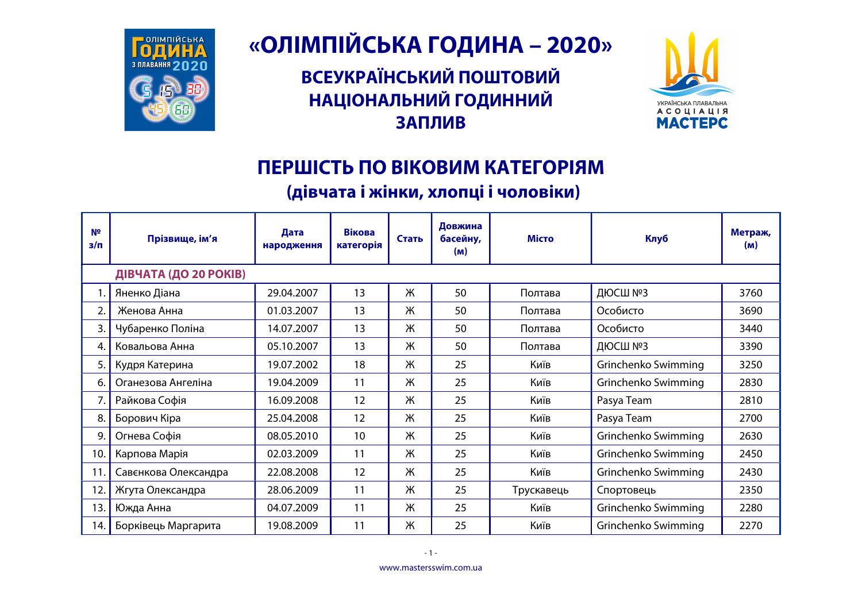

## «ОЛІМПІЙСЬКА ГОДИНА - 2020»

ВСЕУКРАЇНСЬКИЙ ПОШТОВИЙ НАЦІОНАЛЬНИЙ ГОДИННИЙ **ЗАПЛИВ** 



## ПЕРШІСТЬ ПО ВІКОВИМ КАТЕГОРІЯМ

## (дівчата і жінки, хлопці і чоловіки)

| Nº<br>$3/\Pi$ | Прізвище, ім'я        | Дата<br>народження | <b>Вікова</b><br>категорія | Стать | Довжина<br>басейну,<br>(m) | <b>Місто</b> | Клуб                | Метраж,<br>(m) |
|---------------|-----------------------|--------------------|----------------------------|-------|----------------------------|--------------|---------------------|----------------|
|               | ДІВЧАТА (ДО 20 РОКІВ) |                    |                            |       |                            |              |                     |                |
|               | Яненко Діана          | 29.04.2007         | 13                         | Ж     | 50                         | Полтава      | ДЮСШ №3             | 3760           |
| 2.            | Женова Анна           | 01.03.2007         | 13                         | Ж     | 50                         | Полтава      | Особисто            | 3690           |
| 3.            | Чубаренко Поліна      | 14.07.2007         | 13                         | Ж     | 50                         | Полтава      | Особисто            | 3440           |
| 4.            | Ковальова Анна        | 05.10.2007         | 13                         | Ж     | 50                         | Полтава      | ДЮСШ №3             | 3390           |
| 5.            | Кудря Катерина        | 19.07.2002         | 18                         | Ж     | 25                         | Київ         | Grinchenko Swimming | 3250           |
| 6.            | Оганезова Ангеліна    | 19.04.2009         | 11                         | Ж     | 25                         | Київ         | Grinchenko Swimming | 2830           |
| 7.            | Райкова Софія         | 16.09.2008         | 12                         | Ж     | 25                         | Київ         | Pasya Team          | 2810           |
| 8.            | Борович Кіра          | 25.04.2008         | 12                         | Ж     | 25                         | Київ         | Pasya Team          | 2700           |
| 9.            | Огнева Софія          | 08.05.2010         | 10                         | Ж     | 25                         | Київ         | Grinchenko Swimming | 2630           |
| 10.           | Карпова Марія         | 02.03.2009         | 11                         | Ж     | 25                         | Київ         | Grinchenko Swimming | 2450           |
| 11.           | Савєнкова Олександра  | 22.08.2008         | 12                         | Ж     | 25                         | Київ         | Grinchenko Swimming | 2430           |
| 12.           | Жгута Олександра      | 28.06.2009         | 11                         | Ж     | 25                         | Трускавець   | Спортовець          | 2350           |
| 13.           | Южда Анна             | 04.07.2009         | 11                         | Ж     | 25                         | Київ         | Grinchenko Swimming | 2280           |
| 14.           | Борківець Маргарита   | 19.08.2009         | 11                         | Ж     | 25                         | Київ         | Grinchenko Swimming | 2270           |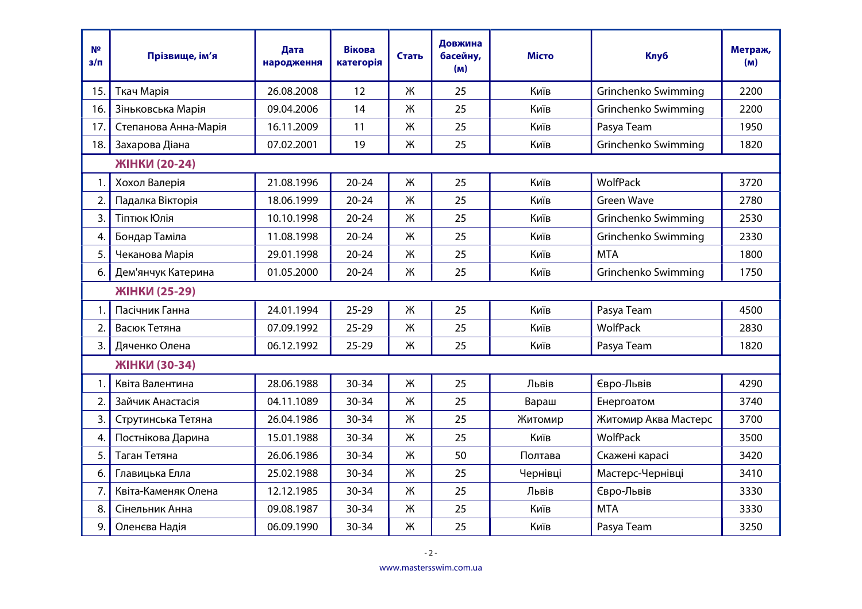| Nº<br>$3/\Pi$ | Прізвище, ім'я       | Дата<br>народження | <b>Вікова</b><br>категорія | Стать | Довжина<br>басейну,<br>(m) | <b>Місто</b> | <b>Клуб</b>          | Метраж,<br>(M) |  |
|---------------|----------------------|--------------------|----------------------------|-------|----------------------------|--------------|----------------------|----------------|--|
| 15.           | Ткач Марія           | 26.08.2008         | 12                         | Ж     | 25                         | Київ         | Grinchenko Swimming  | 2200           |  |
| 16.           | Зіньковська Марія    | 09.04.2006         | 14                         | Ж     | 25                         | Київ         | Grinchenko Swimming  | 2200           |  |
| 17.           | Степанова Анна-Марія | 16.11.2009         | 11                         | Ж     | 25                         | Київ         | Pasya Team           | 1950           |  |
| 18.           | Захарова Діана       | 07.02.2001         | 19                         | Ж     | 25                         | Київ         | Grinchenko Swimming  | 1820           |  |
|               | ЖІНКИ (20-24)        |                    |                            |       |                            |              |                      |                |  |
| 1.            | Хохол Валерія        | 21.08.1996         | $20 - 24$                  | Ж     | 25                         | Київ         | <b>WolfPack</b>      | 3720           |  |
| 2.            | Падалка Вікторія     | 18.06.1999         | $20 - 24$                  | Ж     | 25                         | Київ         | <b>Green Wave</b>    | 2780           |  |
| 3.            | Тіптюк Юлія          | 10.10.1998         | $20 - 24$                  | Ж     | 25                         | Київ         | Grinchenko Swimming  | 2530           |  |
| 4.            | Бондар Таміла        | 11.08.1998         | $20 - 24$                  | Ж     | 25                         | Київ         | Grinchenko Swimming  | 2330           |  |
| 5.            | Чеканова Марія       | 29.01.1998         | $20 - 24$                  | Ж     | 25                         | Київ         | <b>MTA</b>           | 1800           |  |
| 6.            | Дем'янчук Катерина   | 01.05.2000         | $20 - 24$                  | Ж     | 25                         | Київ         | Grinchenko Swimming  | 1750           |  |
| ЖІНКИ (25-29) |                      |                    |                            |       |                            |              |                      |                |  |
| 1.            | Пасічник Ганна       | 24.01.1994         | $25 - 29$                  | Ж     | 25                         | Київ         | Pasya Team           | 4500           |  |
| 2.            | Васюк Тетяна         | 07.09.1992         | $25 - 29$                  | Ж     | 25                         | Київ         | WolfPack             | 2830           |  |
| 3.            | Дяченко Олена        | 06.12.1992         | $25 - 29$                  | Ж     | 25                         | Київ         | Pasya Team           | 1820           |  |
|               | ЖІНКИ (30-34)        |                    |                            |       |                            |              |                      |                |  |
| 1.            | Квіта Валентина      | 28.06.1988         | 30-34                      | Ж     | 25                         | Львів        | Євро-Львів           | 4290           |  |
| 2.            | Зайчик Анастасія     | 04.11.1089         | 30-34                      | Ж     | 25                         | Вараш        | Енергоатом           | 3740           |  |
| 3.            | Струтинська Тетяна   | 26.04.1986         | 30-34                      | Ж     | 25                         | Житомир      | Житомир Аква Мастерс | 3700           |  |
| 4.            | Постнікова Дарина    | 15.01.1988         | 30-34                      | Ж     | 25                         | Київ         | <b>WolfPack</b>      | 3500           |  |
| 5.            | Таган Тетяна         | 26.06.1986         | 30-34                      | Ж     | 50                         | Полтава      | Скажені карасі       | 3420           |  |
| 6.            | Главицька Елла       | 25.02.1988         | 30-34                      | Ж     | 25                         | Чернівці     | Мастерс-Чернівці     | 3410           |  |
| 7.            | Квіта-Каменяк Олена  | 12.12.1985         | $30 - 34$                  | Ж     | 25                         | Львів        | Євро-Львів           | 3330           |  |
| 8.            | Сінельник Анна       | 09.08.1987         | 30-34                      | Ж     | 25                         | Київ         | <b>MTA</b>           | 3330           |  |
| 9.            | Оленєва Надія        | 06.09.1990         | 30-34                      | Ж     | 25                         | Київ         | Pasya Team           | 3250           |  |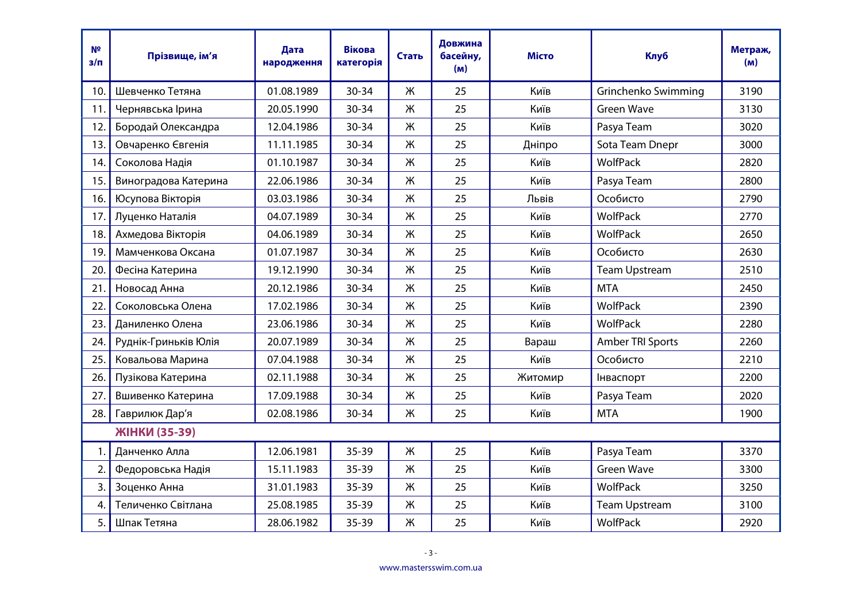| N <sup>2</sup><br>$3/\Pi$ | Прізвище, ім'я       | Дата<br>народження | <b>Вікова</b><br>категорія | Стать | Довжина<br>басейну,<br>(M) | <b>Місто</b> | <b>Клуб</b>          | Метраж,<br>(M) |
|---------------------------|----------------------|--------------------|----------------------------|-------|----------------------------|--------------|----------------------|----------------|
| 10.                       | Шевченко Тетяна      | 01.08.1989         | $30 - 34$                  | Ж     | 25                         | Київ         | Grinchenko Swimming  | 3190           |
| 11.                       | Чернявська Ірина     | 20.05.1990         | 30-34                      | Ж     | 25                         | Київ         | <b>Green Wave</b>    | 3130           |
| 12.                       | Бородай Олександра   | 12.04.1986         | $30 - 34$                  | Ж     | 25                         | Київ         | Pasya Team           | 3020           |
| 13.                       | Овчаренко Євгенія    | 11.11.1985         | 30-34                      | Ж     | 25                         | Дніпро       | Sota Team Dnepr      | 3000           |
| 14.                       | Соколова Надія       | 01.10.1987         | 30-34                      | Ж     | 25                         | Київ         | <b>WolfPack</b>      | 2820           |
| 15.                       | Виноградова Катерина | 22.06.1986         | 30-34                      | Ж     | 25                         | Київ         | Pasya Team           | 2800           |
| 16.                       | Юсупова Вікторія     | 03.03.1986         | 30-34                      | Ж     | 25                         | Львів        | Особисто             | 2790           |
| 17.                       | Луценко Наталія      | 04.07.1989         | 30-34                      | Ж     | 25                         | Київ         | <b>WolfPack</b>      | 2770           |
| 18.                       | Ахмедова Вікторія    | 04.06.1989         | 30-34                      | Ж     | 25                         | Київ         | <b>WolfPack</b>      | 2650           |
| 19.                       | Мамченкова Оксана    | 01.07.1987         | 30-34                      | Ж     | 25                         | Київ         | Особисто             | 2630           |
| 20.                       | Фесіна Катерина      | 19.12.1990         | 30-34                      | Ж     | 25                         | Київ         | <b>Team Upstream</b> | 2510           |
| 21.                       | Новосад Анна         | 20.12.1986         | 30-34                      | Ж     | 25                         | Київ         | <b>MTA</b>           | 2450           |
| 22.                       | Соколовська Олена    | 17.02.1986         | 30-34                      | Ж     | 25                         | Київ         | <b>WolfPack</b>      | 2390           |
| 23.                       | Даниленко Олена      | 23.06.1986         | 30-34                      | Ж     | 25                         | Київ         | WolfPack             | 2280           |
| 24.                       | Руднік-Гриньків Юлія | 20.07.1989         | 30-34                      | Ж     | 25                         | Вараш        | Amber TRI Sports     | 2260           |
| 25.                       | Ковальова Марина     | 07.04.1988         | 30-34                      | Ж     | 25                         | Київ         | Особисто             | 2210           |
| 26.                       | Пузікова Катерина    | 02.11.1988         | $30 - 34$                  | Ж     | 25                         | Житомир      | Інваспорт            | 2200           |
| 27.                       | Вшивенко Катерина    | 17.09.1988         | $30 - 34$                  | Ж     | 25                         | Київ         | Pasya Team           | 2020           |
| 28.                       | Гаврилюк Дар'я       | 02.08.1986         | $30 - 34$                  | Ж     | 25                         | Київ         | <b>MTA</b>           | 1900           |
|                           | ЖІНКИ (35-39)        |                    |                            |       |                            |              |                      |                |
| 1.                        | Данченко Алла        | 12.06.1981         | $35 - 39$                  | Ж     | 25                         | Київ         | Pasya Team           | 3370           |
| 2.                        | Федоровська Надія    | 15.11.1983         | $35 - 39$                  | Ж     | 25                         | Київ         | <b>Green Wave</b>    | 3300           |
| 3.                        | Зоценко Анна         | 31.01.1983         | 35-39                      | Ж     | 25                         | Київ         | WolfPack             | 3250           |
| 4.                        | Теличенко Світлана   | 25.08.1985         | $35 - 39$                  | Ж     | 25                         | Київ         | <b>Team Upstream</b> | 3100           |
| 5.                        | Шпак Тетяна          | 28.06.1982         | $35 - 39$                  | Ж     | 25                         | Київ         | WolfPack             | 2920           |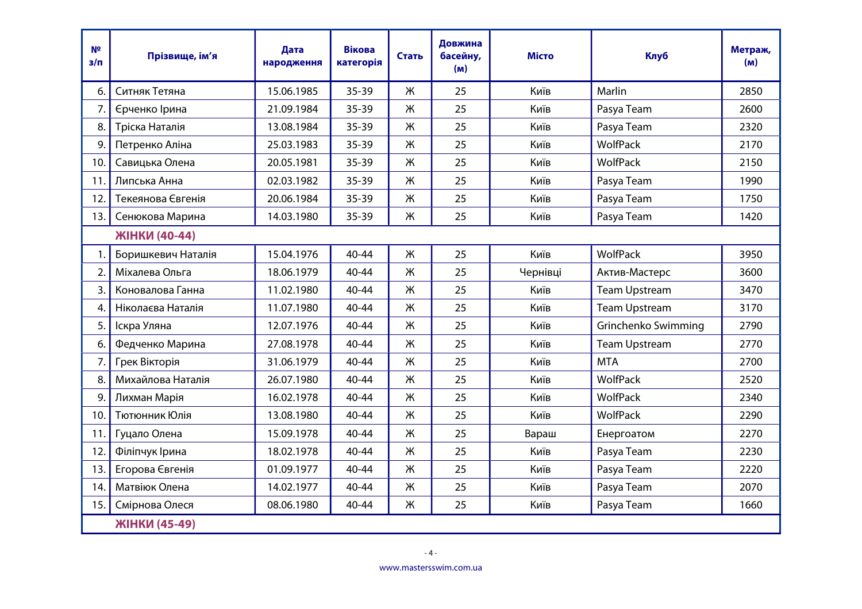| N <sup>2</sup><br>$3/\Pi$ | Прізвище, ім'я     | Дата<br>народження | Вікова<br>категорія | Стать | Довжина<br>басейну,<br>(M) | <b>Місто</b> | <b>Клуб</b>          | Метраж,<br>(M) |
|---------------------------|--------------------|--------------------|---------------------|-------|----------------------------|--------------|----------------------|----------------|
| 6.                        | Ситняк Тетяна      | 15.06.1985         | $35 - 39$           | Ж     | 25                         | Київ         | Marlin               | 2850           |
| 7.                        | Єрченко Ірина      | 21.09.1984         | 35-39               | Ж     | 25                         | Київ         | Pasya Team           | 2600           |
| 8.                        | Тріска Наталія     | 13.08.1984         | $35 - 39$           | Ж     | 25                         | Київ         | Pasya Team           | 2320           |
| 9.                        | Петренко Аліна     | 25.03.1983         | 35-39               | Ж     | 25                         | Київ         | WolfPack             | 2170           |
| 10.                       | Савицька Олена     | 20.05.1981         | $35 - 39$           | Ж     | 25                         | Київ         | <b>WolfPack</b>      | 2150           |
| 11.                       | Липська Анна       | 02.03.1982         | 35-39               | Ж     | 25                         | Київ         | Pasya Team           | 1990           |
| 12.                       | Текеянова Євгенія  | 20.06.1984         | 35-39               | Ж     | 25                         | Київ         | Pasya Team           | 1750           |
| 13.                       | Сенюкова Марина    | 14.03.1980         | $35 - 39$           | Ж     | 25                         | Київ         | Pasya Team           | 1420           |
|                           | ЖІНКИ (40-44)      |                    |                     |       |                            |              |                      |                |
| 1.                        | Боришкевич Наталія | 15.04.1976         | 40-44               | Ж     | 25                         | Київ         | WolfPack             | 3950           |
| 2.                        | Міхалева Ольга     | 18.06.1979         | 40-44               | Ж     | 25                         | Чернівці     | Актив-Мастерс        | 3600           |
| 3.                        | Коновалова Ганна   | 11.02.1980         | 40-44               | Ж     | 25                         | Київ         | <b>Team Upstream</b> | 3470           |
| 4.                        | Ніколаєва Наталія  | 11.07.1980         | 40-44               | Ж     | 25                         | Київ         | <b>Team Upstream</b> | 3170           |
| 5.                        | Іскра Уляна        | 12.07.1976         | $40 - 44$           | Ж     | 25                         | Київ         | Grinchenko Swimming  | 2790           |
| 6.                        | Федченко Марина    | 27.08.1978         | 40-44               | Ж     | 25                         | Київ         | <b>Team Upstream</b> | 2770           |
| 7.                        | Грек Вікторія      | 31.06.1979         | 40-44               | Ж     | 25                         | Київ         | <b>MTA</b>           | 2700           |
| 8.                        | Михайлова Наталія  | 26.07.1980         | 40-44               | Ж     | 25                         | Київ         | WolfPack             | 2520           |
| 9.                        | Лихман Марія       | 16.02.1978         | 40-44               | Ж     | 25                         | Київ         | WolfPack             | 2340           |
| 10.                       | Тютюнник Юлія      | 13.08.1980         | 40-44               | Ж     | 25                         | Київ         | <b>WolfPack</b>      | 2290           |
| 11.                       | Гуцало Олена       | 15.09.1978         | $40 - 44$           | Ж     | 25                         | Вараш        | Енергоатом           | 2270           |
| 12.                       | Філіпчук Ірина     | 18.02.1978         | 40-44               | Ж     | 25                         | Київ         | Pasya Team           | 2230           |
| 13.                       | Егорова Євгенія    | 01.09.1977         | 40-44               | Ж     | 25                         | Київ         | Pasya Team           | 2220           |
| 14.                       | Матвіюк Олена      | 14.02.1977         | 40-44               | Ж     | 25                         | Київ         | Pasya Team           | 2070           |
| 15.                       | Смірнова Олеся     | 08.06.1980         | $40 - 44$           | Ж     | 25                         | Київ         | Pasya Team           | 1660           |
|                           | ЖІНКИ (45-49)      |                    |                     |       |                            |              |                      |                |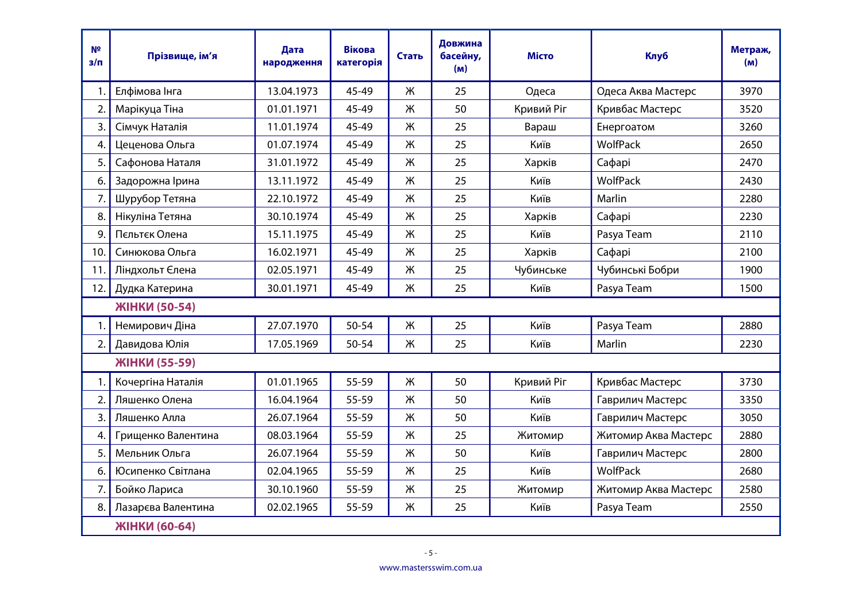| N <sup>2</sup><br>$3/\pi$ | Прізвище, ім'я     | Дата<br>народження | <b>Вікова</b><br>категорія | Стать | Довжина<br>басейну,<br>(m) | <b>Місто</b> | <b>Клуб</b>          | Метраж,<br>(M) |
|---------------------------|--------------------|--------------------|----------------------------|-------|----------------------------|--------------|----------------------|----------------|
| 1.                        | Елфімова Інга      | 13.04.1973         | 45-49                      | Ж     | 25                         | Одеса        | Одеса Аква Мастерс   | 3970           |
| 2.                        | Марікуца Тіна      | 01.01.1971         | 45-49                      | Ж     | 50                         | Кривий Ріг   | Кривбас Мастерс      | 3520           |
| 3.                        | Сімчук Наталія     | 11.01.1974         | 45-49                      | Ж     | 25                         | Вараш        | Енергоатом           | 3260           |
| 4.                        | Цеценова Ольга     | 01.07.1974         | 45-49                      | Ж     | 25                         | Київ         | WolfPack             | 2650           |
| 5.                        | Сафонова Наталя    | 31.01.1972         | 45-49                      | Ж     | 25                         | Харків       | Сафарі               | 2470           |
| 6.                        | Задорожна Ірина    | 13.11.1972         | 45-49                      | Ж     | 25                         | Київ         | WolfPack             | 2430           |
| 7.                        | Шурубор Тетяна     | 22.10.1972         | 45-49                      | Ж     | 25                         | Київ         | Marlin               | 2280           |
| 8.                        | Нікуліна Тетяна    | 30.10.1974         | 45-49                      | Ж     | 25                         | Харків       | Сафарі               | 2230           |
| 9.                        | Пєльтєк Олена      | 15.11.1975         | 45-49                      | Ж     | 25                         | Київ         | Pasya Team           | 2110           |
| 10.                       | Синюкова Ольга     | 16.02.1971         | 45-49                      | Ж     | 25                         | Харків       | Сафарі               | 2100           |
| 11.                       | Ліндхольт Єлена    | 02.05.1971         | 45-49                      | Ж     | 25                         | Чубинське    | Чубинські Бобри      | 1900           |
| 12.                       | Дудка Катерина     | 30.01.1971         | 45-49                      | Ж     | 25                         | Київ         | Pasya Team           | 1500           |
|                           | ЖІНКИ (50-54)      |                    |                            |       |                            |              |                      |                |
| 1.                        | Немирович Діна     | 27.07.1970         | 50-54                      | Ж     | 25                         | Київ         | Pasya Team           | 2880           |
| 2.                        | Давидова Юлія      | 17.05.1969         | 50-54                      | Ж     | 25                         | Київ         | Marlin               | 2230           |
|                           | ЖІНКИ (55-59)      |                    |                            |       |                            |              |                      |                |
| 1.                        | Кочергіна Наталія  | 01.01.1965         | 55-59                      | Ж     | 50                         | Кривий Ріг   | Кривбас Мастерс      | 3730           |
| 2.                        | Ляшенко Олена      | 16.04.1964         | 55-59                      | Ж     | 50                         | Київ         | Гаврилич Мастерс     | 3350           |
| 3.                        | Ляшенко Алла       | 26.07.1964         | 55-59                      | Ж     | 50                         | Київ         | Гаврилич Мастерс     | 3050           |
| 4.                        | Грищенко Валентина | 08.03.1964         | 55-59                      | Ж     | 25                         | Житомир      | Житомир Аква Мастерс | 2880           |
| 5.                        | Мельник Ольга      | 26.07.1964         | 55-59                      | Ж     | 50                         | Київ         | Гаврилич Мастерс     | 2800           |
| 6.                        | Юсипенко Світлана  | 02.04.1965         | 55-59                      | Ж     | 25                         | Київ         | WolfPack             | 2680           |
| 7.                        | Бойко Лариса       | 30.10.1960         | 55-59                      | Ж     | 25                         | Житомир      | Житомир Аква Мастерс | 2580           |
| 8.                        | Лазарєва Валентина | 02.02.1965         | 55-59                      | Ж     | 25                         | Київ         | Pasya Team           | 2550           |
|                           | ЖІНКИ (60-64)      |                    |                            |       |                            |              |                      |                |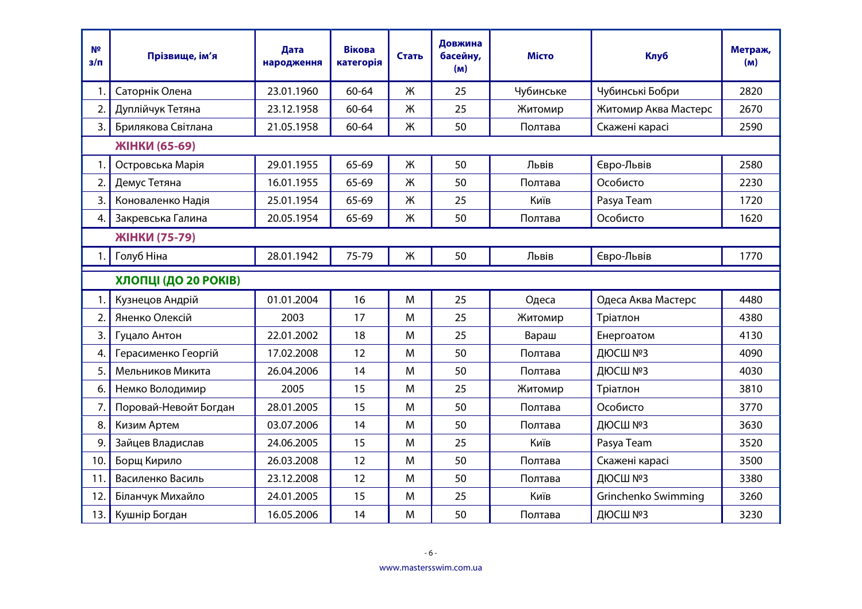| N <sub>2</sub><br>з/п | Прізвище, ім'я        | Дата<br>народження | <b>Вікова</b><br>категорія | Стать | Довжина<br>басейну,<br>(m) | <b>Місто</b> | <b>Клуб</b>          | Метраж,<br>(m) |
|-----------------------|-----------------------|--------------------|----------------------------|-------|----------------------------|--------------|----------------------|----------------|
| 1.                    | Саторнік Олена        | 23.01.1960         | 60-64                      | Ж     | 25                         | Чубинське    | Чубинські Бобри      | 2820           |
| 2.                    | Дуплійчук Тетяна      | 23.12.1958         | 60-64                      | Ж     | 25                         | Житомир      | Житомир Аква Мастерс | 2670           |
| 3.                    | Брилякова Світлана    | 21.05.1958         | 60-64                      | Ж     | 50                         | Полтава      | Скажені карасі       | 2590           |
|                       | ЖІНКИ (65-69)         |                    |                            |       |                            |              |                      |                |
| 1.                    | Островська Марія      | 29.01.1955         | 65-69                      | Ж     | 50                         | Львів        | Євро-Львів           | 2580           |
| 2.                    | Демус Тетяна          | 16.01.1955         | 65-69                      | Ж     | 50                         | Полтава      | Особисто             | 2230           |
| 3.                    | Коноваленко Надія     | 25.01.1954         | 65-69                      | Ж     | 25                         | Київ         | Pasya Team           | 1720           |
| 4.                    | Закревська Галина     | 20.05.1954         | 65-69                      | Ж     | 50                         | Полтава      | Особисто             | 1620           |
|                       | ЖІНКИ (75-79)         |                    |                            |       |                            |              |                      |                |
| 1.                    | Голуб Ніна            | 28.01.1942         | 75-79                      | Ж     | 50                         | Львів        | Євро-Львів           | 1770           |
|                       | ХЛОПЦІ (ДО 20 РОКІВ)  |                    |                            |       |                            |              |                      |                |
|                       | Кузнецов Андрій       | 01.01.2004         | 16                         | M     | 25                         | Одеса        | Одеса Аква Мастерс   | 4480           |
| 2.                    | Яненко Олексій        | 2003               | 17                         | M     | 25                         | Житомир      | Тріатлон             | 4380           |
| 3.                    | Гуцало Антон          | 22.01.2002         | 18                         | M     | 25                         | Вараш        | Енергоатом           | 4130           |
| 4.                    | Герасименко Георгій   | 17.02.2008         | 12                         | M     | 50                         | Полтава      | ДЮСШ №3              | 4090           |
| 5.                    | Мельников Микита      | 26.04.2006         | 14                         | M     | 50                         | Полтава      | ДЮСШ №3              | 4030           |
| 6.                    | Немко Володимир       | 2005               | 15                         | M     | 25                         | Житомир      | Тріатлон             | 3810           |
| 7.                    | Поровай-Невойт Богдан | 28.01.2005         | 15                         | M     | 50                         | Полтава      | Особисто             | 3770           |
| 8.                    | Кизим Артем           | 03.07.2006         | 14                         | M     | 50                         | Полтава      | ДЮСШ №3              | 3630           |
| 9.                    | Зайцев Владислав      | 24.06.2005         | 15                         | M     | 25                         | Київ         | Pasya Team           | 3520           |
| 10.                   | Борщ Кирило           | 26.03.2008         | 12                         | M     | 50                         | Полтава      | Скажені карасі       | 3500           |
| 11.                   | Василенко Василь      | 23.12.2008         | 12                         | M     | 50                         | Полтава      | ДЮСШ №3              | 3380           |
| 12.                   | Біланчук Михайло      | 24.01.2005         | 15                         | M     | 25                         | Київ         | Grinchenko Swimming  | 3260           |
| 13.                   | Кушнір Богдан         | 16.05.2006         | 14                         | M     | 50                         | Полтава      | ДЮСШ №3              | 3230           |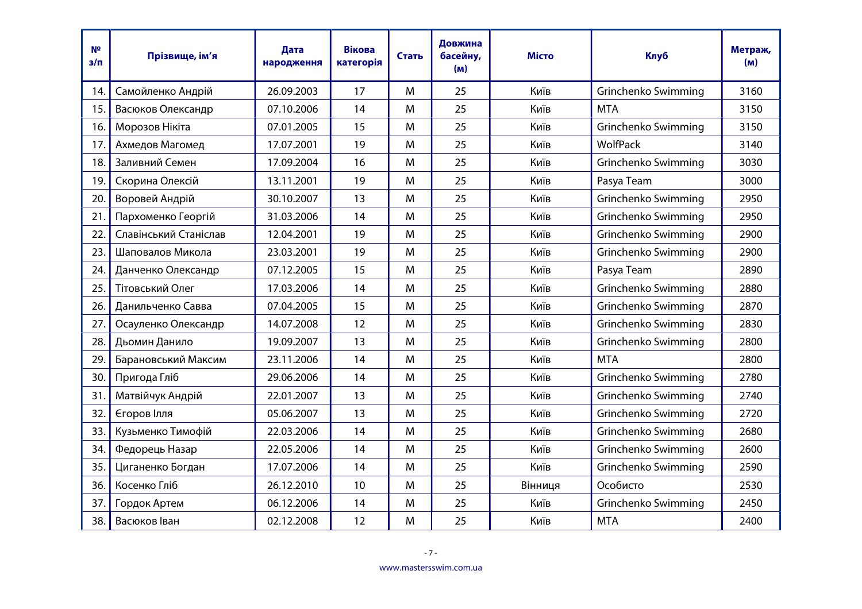| N <sup>2</sup><br>з/п | Прізвище, ім'я        | Дата<br>народження | <b>Вікова</b><br>категорія | Стать | Довжина<br>басейну,<br>(m) | Місто   | <b>Клуб</b>         | Метраж,<br>(M) |
|-----------------------|-----------------------|--------------------|----------------------------|-------|----------------------------|---------|---------------------|----------------|
| 14.                   | Самойленко Андрій     | 26.09.2003         | 17                         | M     | 25                         | Київ    | Grinchenko Swimming | 3160           |
| 15.                   | Васюков Олександр     | 07.10.2006         | 14                         | M     | 25                         | Київ    | <b>MTA</b>          | 3150           |
| 16.                   | Морозов Нікіта        | 07.01.2005         | 15                         | M     | 25                         | Київ    | Grinchenko Swimming | 3150           |
| 17.                   | Ахмедов Магомед       | 17.07.2001         | 19                         | M     | 25                         | Київ    | WolfPack            | 3140           |
| 18.                   | Заливний Семен        | 17.09.2004         | 16                         | M     | 25                         | Київ    | Grinchenko Swimming | 3030           |
| 19.                   | Скорина Олексій       | 13.11.2001         | 19                         | M     | 25                         | Київ    | Pasya Team          | 3000           |
| 20.                   | Воровей Андрій        | 30.10.2007         | 13                         | M     | 25                         | Київ    | Grinchenko Swimming | 2950           |
| 21.                   | Пархоменко Георгій    | 31.03.2006         | 14                         | M     | 25                         | Київ    | Grinchenko Swimming | 2950           |
| 22.                   | Славінський Станіслав | 12.04.2001         | 19                         | M     | 25                         | Київ    | Grinchenko Swimming | 2900           |
| 23.                   | Шаповалов Микола      | 23.03.2001         | 19                         | M     | 25                         | Київ    | Grinchenko Swimming | 2900           |
| 24.                   | Данченко Олександр    | 07.12.2005         | 15                         | M     | 25                         | Київ    | Pasya Team          | 2890           |
| 25.                   | Тітовський Олег       | 17.03.2006         | 14                         | M     | 25                         | Київ    | Grinchenko Swimming | 2880           |
| 26.                   | Данильченко Савва     | 07.04.2005         | 15                         | M     | 25                         | Київ    | Grinchenko Swimming | 2870           |
| 27.                   | Осауленко Олександр   | 14.07.2008         | 12                         | M     | 25                         | Київ    | Grinchenko Swimming | 2830           |
| 28.                   | Дьомин Данило         | 19.09.2007         | 13                         | M     | 25                         | Київ    | Grinchenko Swimming | 2800           |
| 29.                   | Барановський Максим   | 23.11.2006         | 14                         | M     | 25                         | Київ    | <b>MTA</b>          | 2800           |
| 30.                   | Пригода Гліб          | 29.06.2006         | 14                         | M     | 25                         | Київ    | Grinchenko Swimming | 2780           |
| 31.                   | Матвійчук Андрій      | 22.01.2007         | 13                         | M     | 25                         | Київ    | Grinchenko Swimming | 2740           |
| 32.                   | Єгоров Ілля           | 05.06.2007         | 13                         | M     | 25                         | Київ    | Grinchenko Swimming | 2720           |
| 33.                   | Кузьменко Тимофій     | 22.03.2006         | 14                         | M     | 25                         | Київ    | Grinchenko Swimming | 2680           |
| 34.                   | Федорець Назар        | 22.05.2006         | 14                         | M     | 25                         | Київ    | Grinchenko Swimming | 2600           |
| 35.                   | Циганенко Богдан      | 17.07.2006         | 14                         | M     | 25                         | Київ    | Grinchenko Swimming | 2590           |
| 36.                   | Косенко Гліб          | 26.12.2010         | 10                         | M     | 25                         | Вінниця | Особисто            | 2530           |
| 37.                   | Гордок Артем          | 06.12.2006         | 14                         | M     | 25                         | Київ    | Grinchenko Swimming | 2450           |
| 38.                   | Васюков Іван          | 02.12.2008         | 12                         | M     | 25                         | Київ    | <b>MTA</b>          | 2400           |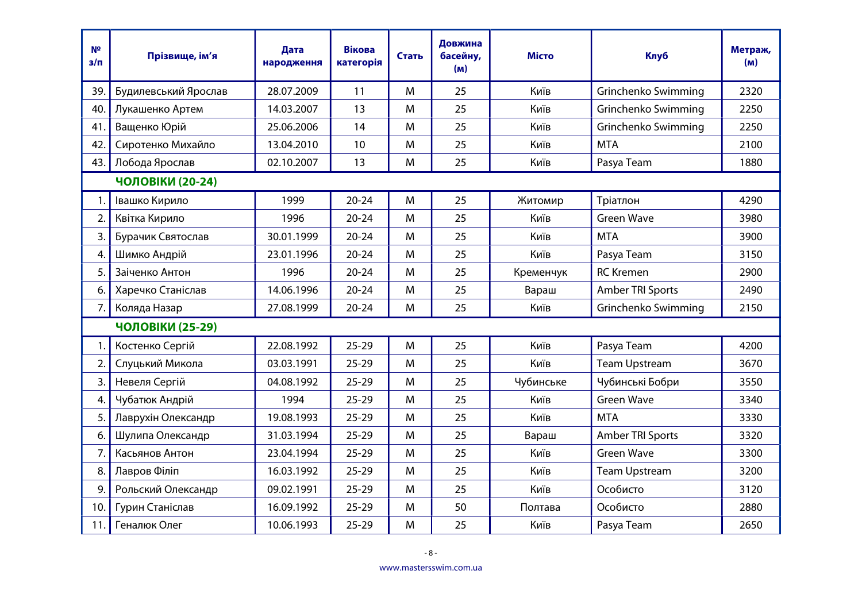| N <sup>2</sup><br>$3/\Pi$ | Прізвище, ім'я          | Дата<br>народження | <b>Вікова</b><br>категорія | Стать | Довжина<br>басейну,<br>(m) | <b>Місто</b> | <b>Клуб</b>          | Метраж,<br>(M) |
|---------------------------|-------------------------|--------------------|----------------------------|-------|----------------------------|--------------|----------------------|----------------|
| 39.                       | Будилевський Ярослав    | 28.07.2009         | 11                         | M     | 25                         | Київ         | Grinchenko Swimming  | 2320           |
| 40.                       | Лукашенко Артем         | 14.03.2007         | 13                         | M     | 25                         | Київ         | Grinchenko Swimming  | 2250           |
| 41.                       | Ващенко Юрій            | 25.06.2006         | 14                         | M     | 25                         | Київ         | Grinchenko Swimming  | 2250           |
| 42.                       | Сиротенко Михайло       | 13.04.2010         | 10                         | M     | 25                         | Київ         | <b>MTA</b>           | 2100           |
| 43.1                      | Лобода Ярослав          | 02.10.2007         | 13                         | M     | 25                         | Київ         | Pasya Team           | 1880           |
|                           | <b>ЧОЛОВІКИ (20-24)</b> |                    |                            |       |                            |              |                      |                |
| 1.                        | Івашко Кирило           | 1999               | $20 - 24$                  | M     | 25                         | Житомир      | Тріатлон             | 4290           |
| 2.                        | Квітка Кирило           | 1996               | $20 - 24$                  | M     | 25                         | Київ         | <b>Green Wave</b>    | 3980           |
| 3.                        | Бурачик Святослав       | 30.01.1999         | $20 - 24$                  | M     | 25                         | Київ         | <b>MTA</b>           | 3900           |
| 4.                        | Шимко Андрій            | 23.01.1996         | $20 - 24$                  | M     | 25                         | Київ         | Pasya Team           | 3150           |
| 5.                        | Заіченко Антон          | 1996               | $20 - 24$                  | M     | 25                         | Кременчук    | <b>RC</b> Kremen     | 2900           |
| 6.                        | Харечко Станіслав       | 14.06.1996         | $20 - 24$                  | M     | 25                         | Вараш        | Amber TRI Sports     | 2490           |
| 7.                        | Коляда Назар            | 27.08.1999         | $20 - 24$                  | M     | 25                         | Київ         | Grinchenko Swimming  | 2150           |
|                           | ЧОЛОВІКИ (25-29)        |                    |                            |       |                            |              |                      |                |
| 1.                        | Костенко Сергій         | 22.08.1992         | $25 - 29$                  | M     | 25                         | Київ         | Pasya Team           | 4200           |
| 2.                        | Слуцький Микола         | 03.03.1991         | $25 - 29$                  | M     | 25                         | Київ         | <b>Team Upstream</b> | 3670           |
| 3.                        | Невеля Сергій           | 04.08.1992         | $25 - 29$                  | M     | 25                         | Чубинське    | Чубинські Бобри      | 3550           |
| 4.                        | Чубатюк Андрій          | 1994               | $25 - 29$                  | M     | 25                         | Київ         | <b>Green Wave</b>    | 3340           |
| 5.                        | Лаврухін Олександр      | 19.08.1993         | $25 - 29$                  | M     | 25                         | Київ         | <b>MTA</b>           | 3330           |
| 6.                        | Шулипа Олександр        | 31.03.1994         | $25 - 29$                  | M     | 25                         | Вараш        | Amber TRI Sports     | 3320           |
| 7.                        | Касьянов Антон          | 23.04.1994         | $25 - 29$                  | M     | 25                         | Київ         | <b>Green Wave</b>    | 3300           |
| 8.                        | Лавров Філіп            | 16.03.1992         | $25 - 29$                  | M     | 25                         | Київ         | <b>Team Upstream</b> | 3200           |
| 9.                        | Рольский Олександр      | 09.02.1991         | $25 - 29$                  | M     | 25                         | Київ         | Особисто             | 3120           |
| 10.                       | Гурин Станіслав         | 16.09.1992         | $25 - 29$                  | M     | 50                         | Полтава      | Особисто             | 2880           |
| 11.                       | Геналюк Олег            | 10.06.1993         | $25 - 29$                  | M     | 25                         | Київ         | Pasya Team           | 2650           |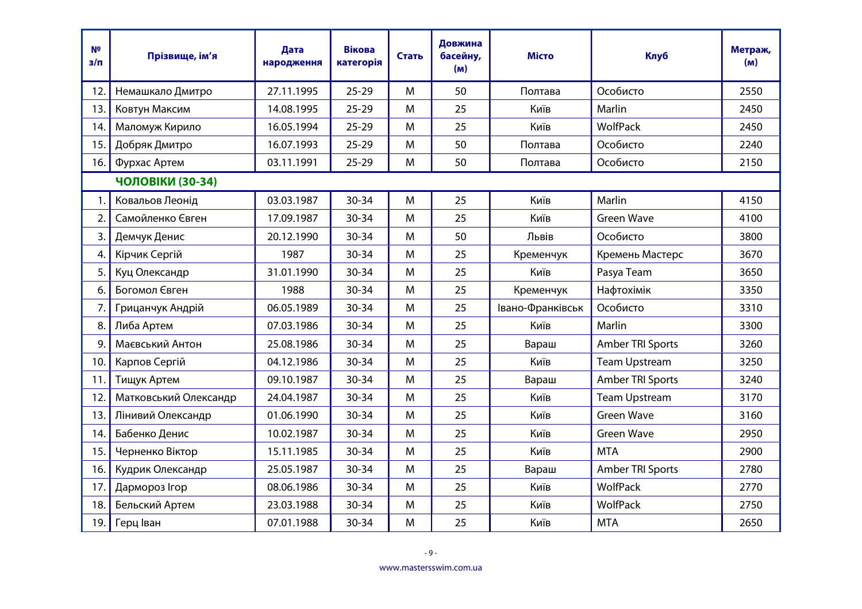| N <sup>2</sup><br>$3/\Pi$ | Прізвище, ім'я        | Дата<br>народження | <b>Вікова</b><br>категорія | Стать | Довжина<br>басейну,<br>(M) | <b>Місто</b>     | <b>Клуб</b>          | Метраж,<br>(M) |
|---------------------------|-----------------------|--------------------|----------------------------|-------|----------------------------|------------------|----------------------|----------------|
| 12.                       | Немашкало Дмитро      | 27.11.1995         | $25 - 29$                  | M     | 50                         | Полтава          | Особисто             | 2550           |
| 13.                       | Ковтун Максим         | 14.08.1995         | $25 - 29$                  | M     | 25                         | Київ             | Marlin               | 2450           |
| 14.                       | Маломуж Кирило        | 16.05.1994         | $25 - 29$                  | M     | 25                         | Київ             | WolfPack             | 2450           |
| 15.                       | Добряк Дмитро         | 16.07.1993         | $25 - 29$                  | M     | 50                         | Полтава          | Особисто             | 2240           |
| 16.                       | Фурхас Артем          | 03.11.1991         | $25 - 29$                  | M     | 50                         | Полтава          | Особисто             | 2150           |
|                           | ЧОЛОВІКИ (30-34)      |                    |                            |       |                            |                  |                      |                |
| 1.                        | Ковальов Леонід       | 03.03.1987         | $30 - 34$                  | M     | 25                         | Київ             | Marlin               | 4150           |
| 2.                        | Самойленко Євген      | 17.09.1987         | $30 - 34$                  | M     | 25                         | Київ             | <b>Green Wave</b>    | 4100           |
| 3.                        | Демчук Денис          | 20.12.1990         | $30 - 34$                  | M     | 50                         | Львів            | Особисто             | 3800           |
| 4.                        | Кірчик Сергій         | 1987               | $30 - 34$                  | M     | 25                         | Кременчук        | Кремень Мастерс      | 3670           |
| 5.                        | Куц Олександр         | 31.01.1990         | $30 - 34$                  | M     | 25                         | Київ             | Pasya Team           | 3650           |
| 6.                        | Богомол Євген         | 1988               | $30 - 34$                  | M     | 25                         | Кременчук        | Нафтохімік           | 3350           |
| 7.                        | Грицанчук Андрій      | 06.05.1989         | $30 - 34$                  | M     | 25                         | Івано-Франківськ | Особисто             | 3310           |
| 8.                        | Либа Артем            | 07.03.1986         | $30 - 34$                  | M     | 25                         | Київ             | Marlin               | 3300           |
| 9.                        | Маєвський Антон       | 25.08.1986         | $30 - 34$                  | M     | 25                         | Вараш            | Amber TRI Sports     | 3260           |
| 10.                       | Карпов Сергій         | 04.12.1986         | $30 - 34$                  | M     | 25                         | Київ             | <b>Team Upstream</b> | 3250           |
| 11.                       | Тищук Артем           | 09.10.1987         | $30 - 34$                  | M     | 25                         | Вараш            | Amber TRI Sports     | 3240           |
| 12.                       | Матковський Олександр | 24.04.1987         | $30 - 34$                  | M     | 25                         | Київ             | <b>Team Upstream</b> | 3170           |
| 13.                       | Лінивий Олександр     | 01.06.1990         | $30 - 34$                  | M     | 25                         | Київ             | <b>Green Wave</b>    | 3160           |
| 14.                       | Бабенко Денис         | 10.02.1987         | $30 - 34$                  | M     | 25                         | Київ             | <b>Green Wave</b>    | 2950           |
| 15.                       | Черненко Віктор       | 15.11.1985         | $30 - 34$                  | M     | 25                         | Київ             | <b>MTA</b>           | 2900           |
| 16.                       | Кудрик Олександр      | 25.05.1987         | $30 - 34$                  | M     | 25                         | Вараш            | Amber TRI Sports     | 2780           |
| 17.                       | Дармороз Ігор         | 08.06.1986         | $30 - 34$                  | M     | 25                         | Київ             | WolfPack             | 2770           |
| 18.                       | Бельский Артем        | 23.03.1988         | $30 - 34$                  | M     | 25                         | Київ             | WolfPack             | 2750           |
| 19.                       | Герц Іван             | 07.01.1988         | $30 - 34$                  | M     | 25                         | Київ             | <b>MTA</b>           | 2650           |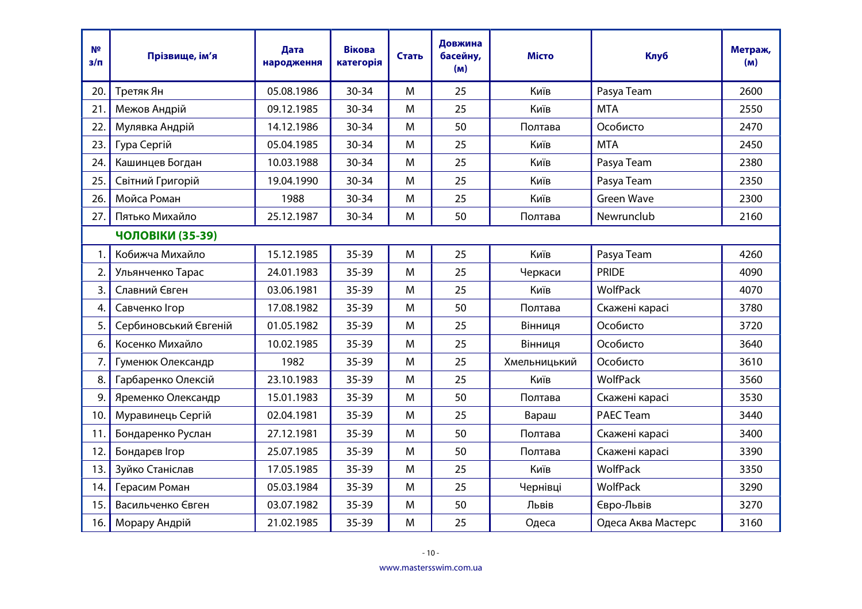| N <sup>2</sup><br>$3/\Pi$ | Прізвище, ім'я        | Дата<br>народження | <b>Вікова</b><br>категорія | Стать | Довжина<br>басейну,<br>(M) | <b>Місто</b> | <b>Клуб</b>        | Метраж,<br>(M) |
|---------------------------|-----------------------|--------------------|----------------------------|-------|----------------------------|--------------|--------------------|----------------|
| 20.                       | Третяк Ян             | 05.08.1986         | $30 - 34$                  | M     | 25                         | Київ         | Pasya Team         | 2600           |
| 21.                       | Межов Андрій          | 09.12.1985         | 30-34                      | M     | 25                         | Київ         | <b>MTA</b>         | 2550           |
| 22.                       | Мулявка Андрій        | 14.12.1986         | $30 - 34$                  | M     | 50                         | Полтава      | Особисто           | 2470           |
| 23.                       | Гура Сергій           | 05.04.1985         | $30 - 34$                  | M     | 25                         | Київ         | <b>MTA</b>         | 2450           |
| 24.                       | Кашинцев Богдан       | 10.03.1988         | 30-34                      | M     | 25                         | Київ         | Pasya Team         | 2380           |
| 25.                       | Світний Григорій      | 19.04.1990         | 30-34                      | M     | 25                         | Київ         | Pasya Team         | 2350           |
| 26.                       | Мойса Роман           | 1988               | $30 - 34$                  | M     | 25                         | Київ         | <b>Green Wave</b>  | 2300           |
| 27.                       | Пятько Михайло        | 25.12.1987         | $30 - 34$                  | M     | 50                         | Полтава      | Newrunclub         | 2160           |
|                           | ЧОЛОВІКИ (35-39)      |                    |                            |       |                            |              |                    |                |
| 1.                        | Кобижча Михайло       | 15.12.1985         | $35 - 39$                  | M     | 25                         | Київ         | Pasya Team         | 4260           |
| 2.                        | Ульянченко Тарас      | 24.01.1983         | $35 - 39$                  | M     | 25                         | Черкаси      | <b>PRIDE</b>       | 4090           |
| 3.                        | Славний Євген         | 03.06.1981         | $35 - 39$                  | M     | 25                         | Київ         | WolfPack           | 4070           |
| 4.                        | Савченко Ігор         | 17.08.1982         | $35 - 39$                  | M     | 50                         | Полтава      | Скажені карасі     | 3780           |
| 5.                        | Сербиновський Євгеній | 01.05.1982         | $35 - 39$                  | M     | 25                         | Вінниця      | Особисто           | 3720           |
| 6.                        | Косенко Михайло       | 10.02.1985         | 35-39                      | M     | 25                         | Вінниця      | Особисто           | 3640           |
| 7.                        | Гуменюк Олександр     | 1982               | $35 - 39$                  | M     | 25                         | Хмельницький | Особисто           | 3610           |
| 8.                        | Гарбаренко Олексій    | 23.10.1983         | $35 - 39$                  | M     | 25                         | Київ         | WolfPack           | 3560           |
| 9.                        | Яременко Олександр    | 15.01.1983         | $35 - 39$                  | M     | 50                         | Полтава      | Скажені карасі     | 3530           |
| 10.                       | Муравинець Сергій     | 02.04.1981         | $35 - 39$                  | M     | 25                         | Вараш        | <b>PAEC Team</b>   | 3440           |
| 11.                       | Бондаренко Руслан     | 27.12.1981         | $35 - 39$                  | M     | 50                         | Полтава      | Скажені карасі     | 3400           |
| 12.                       | Бондарєв Ігор         | 25.07.1985         | $35 - 39$                  | M     | 50                         | Полтава      | Скажені карасі     | 3390           |
| 13.                       | Зуйко Станіслав       | 17.05.1985         | $35 - 39$                  | M     | 25                         | Київ         | <b>WolfPack</b>    | 3350           |
| 14.                       | Герасим Роман         | 05.03.1984         | $35 - 39$                  | M     | 25                         | Чернівці     | WolfPack           | 3290           |
| 15.                       | Васильченко Євген     | 03.07.1982         | $35 - 39$                  | M     | 50                         | Львів        | Євро-Львів         | 3270           |
| 16.                       | Морару Андрій         | 21.02.1985         | $35 - 39$                  | M     | 25                         | Одеса        | Одеса Аква Мастерс | 3160           |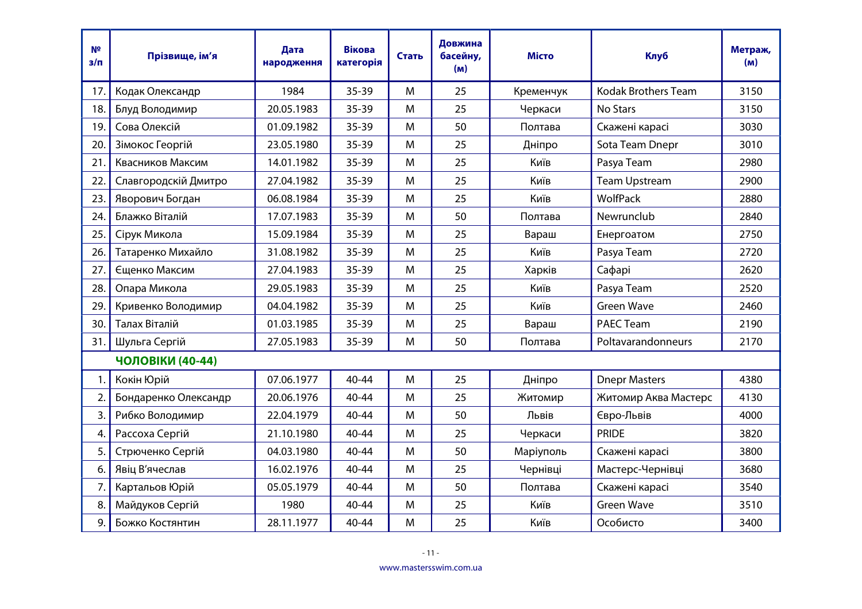| N <sup>2</sup><br>$3/\Pi$ | Прізвище, ім'я       | Дата<br>народження | <b>Вікова</b><br>категорія | Стать | Довжина<br>басейну,<br>(M) | <b>Місто</b> | <b>Клуб</b>                | Метраж,<br>(M) |
|---------------------------|----------------------|--------------------|----------------------------|-------|----------------------------|--------------|----------------------------|----------------|
| 17 <sub>1</sub>           | Кодак Олександр      | 1984               | $35 - 39$                  | M     | 25                         | Кременчук    | <b>Kodak Brothers Team</b> | 3150           |
| 18.                       | Блуд Володимир       | 20.05.1983         | $35 - 39$                  | M     | 25                         | Черкаси      | No Stars                   | 3150           |
| 19.                       | Сова Олексій         | 01.09.1982         | $35 - 39$                  | M     | 50                         | Полтава      | Скажені карасі             | 3030           |
| 20.                       | Зімокос Георгій      | 23.05.1980         | $35 - 39$                  | M     | 25                         | Дніпро       | Sota Team Dnepr            | 3010           |
| 21.                       | Квасников Максим     | 14.01.1982         | $35 - 39$                  | M     | 25                         | Київ         | Pasya Team                 | 2980           |
| 22.                       | Славгородскій Дмитро | 27.04.1982         | 35-39                      | M     | 25                         | Київ         | <b>Team Upstream</b>       | 2900           |
| 23.                       | Яворович Богдан      | 06.08.1984         | $35 - 39$                  | M     | 25                         | Київ         | <b>WolfPack</b>            | 2880           |
| 24.                       | Блажко Віталій       | 17.07.1983         | $35 - 39$                  | M     | 50                         | Полтава      | Newrunclub                 | 2840           |
| 25.                       | Сірук Микола         | 15.09.1984         | 35-39                      | M     | 25                         | Вараш        | Енергоатом                 | 2750           |
| 26.                       | Татаренко Михайло    | 31.08.1982         | $35 - 39$                  | M     | 25                         | Київ         | Pasya Team                 | 2720           |
| 27.                       | Єщенко Максим        | 27.04.1983         | $35 - 39$                  | M     | 25                         | Харків       | Сафарі                     | 2620           |
| 28.                       | Опара Микола         | 29.05.1983         | $35 - 39$                  | M     | 25                         | Київ         | Pasya Team                 | 2520           |
| 29.                       | Кривенко Володимир   | 04.04.1982         | $35 - 39$                  | M     | 25                         | Київ         | <b>Green Wave</b>          | 2460           |
| 30.                       | Талах Віталій        | 01.03.1985         | $35 - 39$                  | M     | 25                         | Вараш        | <b>PAEC Team</b>           | 2190           |
| 31.                       | Шульга Сергій        | 27.05.1983         | $35 - 39$                  | M     | 50                         | Полтава      | Poltavarandonneurs         | 2170           |
|                           | ЧОЛОВІКИ (40-44)     |                    |                            |       |                            |              |                            |                |
| 1.                        | Кокін Юрій           | 07.06.1977         | 40-44                      | M     | 25                         | Дніпро       | <b>Dnepr Masters</b>       | 4380           |
| 2.                        | Бондаренко Олександр | 20.06.1976         | 40-44                      | M     | 25                         | Житомир      | Житомир Аква Мастерс       | 4130           |
| 3.                        | Рибко Володимир      | 22.04.1979         | 40-44                      | M     | 50                         | Львів        | Євро-Львів                 | 4000           |
| 4.                        | Рассоха Сергій       | 21.10.1980         | 40-44                      | M     | 25                         | Черкаси      | <b>PRIDE</b>               | 3820           |
| 5.                        | Стрюченко Сергій     | 04.03.1980         | 40-44                      | M     | 50                         | Маріуполь    | Скажені карасі             | 3800           |
| 6.                        | Явіц В'ячеслав       | 16.02.1976         | 40-44                      | M     | 25                         | Чернівці     | Мастерс-Чернівці           | 3680           |
| 7.                        | Картальов Юрій       | 05.05.1979         | 40-44                      | M     | 50                         | Полтава      | Скажені карасі             | 3540           |
| 8.                        | Майдуков Сергій      | 1980               | 40-44                      | M     | 25                         | Київ         | <b>Green Wave</b>          | 3510           |
| 9.                        | Божко Костянтин      | 28.11.1977         | 40-44                      | M     | 25                         | Київ         | Особисто                   | 3400           |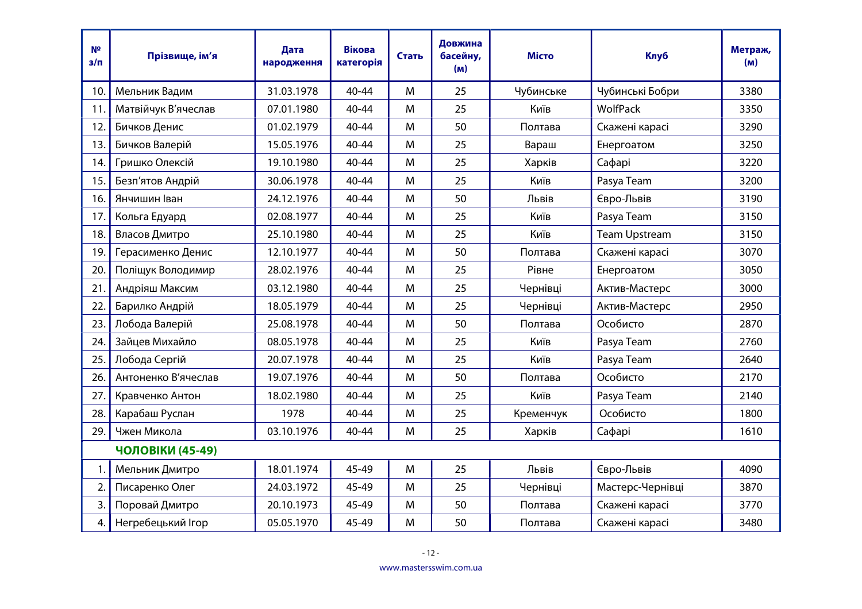| N <sup>2</sup><br>$3/\Pi$ | Прізвище, ім'я      | Дата<br>народження | <b>Вікова</b><br>категорія | Стать | Довжина<br>басейну,<br>(M) | <b>Місто</b> | <b>Клуб</b>          | Метраж,<br>(M) |  |
|---------------------------|---------------------|--------------------|----------------------------|-------|----------------------------|--------------|----------------------|----------------|--|
| 10.                       | Мельник Вадим       | 31.03.1978         | $40 - 44$                  | M     | 25                         | Чубинське    | Чубинські Бобри      | 3380           |  |
| 11.                       | Матвійчук В'ячеслав | 07.01.1980         | 40-44                      | M     | 25                         | Київ         | <b>WolfPack</b>      | 3350           |  |
| 12.                       | Бичков Денис        | 01.02.1979         | 40-44                      | M     | 50                         | Полтава      | Скажені карасі       | 3290           |  |
| 13.                       | Бичков Валерій      | 15.05.1976         | 40-44                      | M     | 25                         | Вараш        | Енергоатом           | 3250           |  |
| 14.                       | Гришко Олексій      | 19.10.1980         | 40-44                      | M     | 25                         | Харків       | Сафарі               | 3220           |  |
| 15.                       | Безп'ятов Андрій    | 30.06.1978         | 40-44                      | M     | 25                         | Київ         | Pasya Team           | 3200           |  |
| 16.                       | Янчишин Іван        | 24.12.1976         | 40-44                      | M     | 50                         | Львів        | Євро-Львів           | 3190           |  |
| 17.                       | Кольга Едуард       | 02.08.1977         | 40-44                      | M     | 25                         | Київ         | Pasya Team           | 3150           |  |
| 18.                       | Власов Дмитро       | 25.10.1980         | 40-44                      | M     | 25                         | Київ         | <b>Team Upstream</b> | 3150           |  |
| 19.                       | Герасименко Денис   | 12.10.1977         | 40-44                      | M     | 50                         | Полтава      | Скажені карасі       | 3070           |  |
| 20.                       | Поліщук Володимир   | 28.02.1976         | 40-44                      | M     | 25                         | Рівне        | Енергоатом           | 3050           |  |
| 21.                       | Андріяш Максим      | 03.12.1980         | $40 - 44$                  | M     | 25                         | Чернівці     | Актив-Мастерс        | 3000           |  |
| 22.                       | Барилко Андрій      | 18.05.1979         | 40-44                      | M     | 25                         | Чернівці     | Актив-Мастерс        | 2950           |  |
| 23.                       | Лобода Валерій      | 25.08.1978         | 40-44                      | M     | 50                         | Полтава      | Особисто             | 2870           |  |
| 24.                       | Зайцев Михайло      | 08.05.1978         | 40-44                      | M     | 25                         | Київ         | Pasya Team           | 2760           |  |
| 25.                       | Лобода Сергій       | 20.07.1978         | 40-44                      | M     | 25                         | Київ         | Pasya Team           | 2640           |  |
| 26.                       | Антоненко В'ячеслав | 19.07.1976         | $40 - 44$                  | M     | 50                         | Полтава      | Особисто             | 2170           |  |
| 27.                       | Кравченко Антон     | 18.02.1980         | 40-44                      | M     | 25                         | Київ         | Pasya Team           | 2140           |  |
| 28.                       | Карабаш Руслан      | 1978               | 40-44                      | M     | 25                         | Кременчук    | Особисто             | 1800           |  |
| 29.                       | Чжен Микола         | 03.10.1976         | $40 - 44$                  | M     | 25                         | Харків       | Сафарі               | 1610           |  |
|                           | ЧОЛОВІКИ (45-49)    |                    |                            |       |                            |              |                      |                |  |
| 1.                        | Мельник Дмитро      | 18.01.1974         | 45-49                      | M     | 25                         | Львів        | Євро-Львів           | 4090           |  |
| 2.                        | Писаренко Олег      | 24.03.1972         | 45-49                      | M     | 25                         | Чернівці     | Мастерс-Чернівці     | 3870           |  |
| 3.                        | Поровай Дмитро      | 20.10.1973         | 45-49                      | M     | 50                         | Полтава      | Скажені карасі       | 3770           |  |
| 4.                        | Негребецький Ігор   | 05.05.1970         | 45-49                      | M     | 50                         | Полтава      | Скажені карасі       | 3480           |  |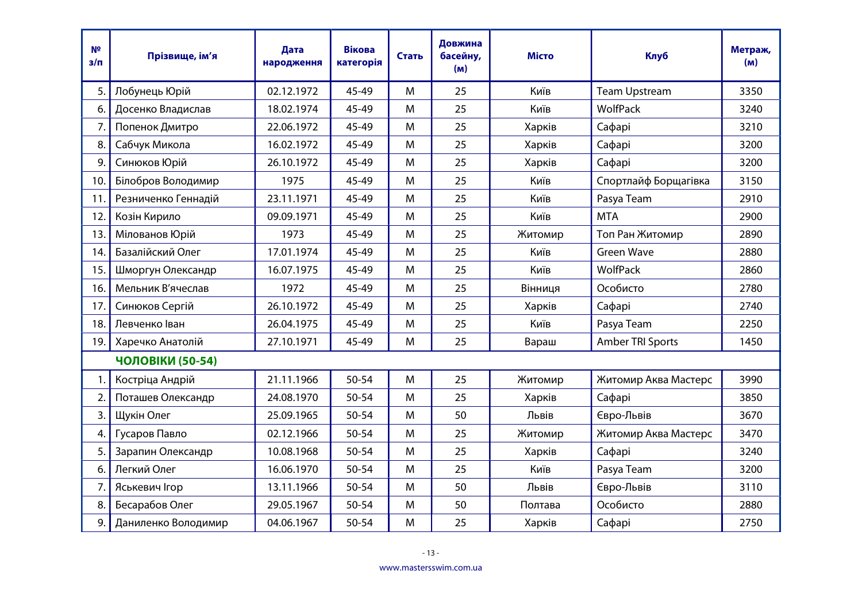| N <sup>2</sup><br>$3/\Pi$ | Прізвище, ім'я      | Дата<br>народження | <b>Вікова</b><br>категорія | Стать | Довжина<br>басейну,<br>(M) | <b>Місто</b> | <b>Клуб</b>          | Метраж,<br>(M) |  |
|---------------------------|---------------------|--------------------|----------------------------|-------|----------------------------|--------------|----------------------|----------------|--|
| 5.                        | Лобунець Юрій       | 02.12.1972         | 45-49                      | M     | 25                         | Київ         | <b>Team Upstream</b> | 3350           |  |
| 6.                        | Досенко Владислав   | 18.02.1974         | 45-49                      | M     | 25                         | Київ         | <b>WolfPack</b>      | 3240           |  |
| 7.                        | Попенок Дмитро      | 22.06.1972         | 45-49                      | M     | 25                         | Харків       | Сафарі               | 3210           |  |
| 8.                        | Сабчук Микола       | 16.02.1972         | 45-49                      | M     | 25                         | Харків       | Сафарі               | 3200           |  |
| 9.                        | Синюков Юрій        | 26.10.1972         | 45-49                      | M     | 25                         | Харків       | Сафарі               | 3200           |  |
| 10.                       | Білобров Володимир  | 1975               | 45-49                      | M     | 25                         | Київ         | Спортлайф Борщагівка | 3150           |  |
| 11.                       | Резниченко Геннадій | 23.11.1971         | 45-49                      | M     | 25                         | Київ         | Pasya Team           | 2910           |  |
| 12.                       | Козін Кирило        | 09.09.1971         | 45-49                      | M     | 25                         | Київ         | <b>MTA</b>           | 2900           |  |
| 13.                       | Мілованов Юрій      | 1973               | 45-49                      | M     | 25                         | Житомир      | Топ Ран Житомир      | 2890           |  |
| 14.                       | Базалійский Олег    | 17.01.1974         | 45-49                      | M     | 25                         | Київ         | <b>Green Wave</b>    | 2880           |  |
| 15.                       | Шморгун Олександр   | 16.07.1975         | 45-49                      | M     | 25                         | Київ         | WolfPack             | 2860           |  |
| 16.                       | Мельник В'ячеслав   | 1972               | 45-49                      | M     | 25                         | Вінниця      | Особисто             | 2780           |  |
| 17.                       | Синюков Сергій      | 26.10.1972         | 45-49                      | M     | 25                         | Харків       | Сафарі               | 2740           |  |
| 18.                       | Левченко Іван       | 26.04.1975         | 45-49                      | M     | 25                         | Київ         | Pasya Team           | 2250           |  |
| 19.                       | Харечко Анатолій    | 27.10.1971         | 45-49                      | M     | 25                         | Вараш        | Amber TRI Sports     | 1450           |  |
|                           | ЧОЛОВІКИ (50-54)    |                    |                            |       |                            |              |                      |                |  |
| 1.                        | Костріца Андрій     | 21.11.1966         | 50-54                      | M     | 25                         | Житомир      | Житомир Аква Мастерс | 3990           |  |
| 2.                        | Поташев Олександр   | 24.08.1970         | 50-54                      | M     | 25                         | Харків       | Сафарі               | 3850           |  |
| 3.                        | Щукін Олег          | 25.09.1965         | 50-54                      | M     | 50                         | Львів        | Євро-Львів           | 3670           |  |
| 4.                        | Гусаров Павло       | 02.12.1966         | 50-54                      | M     | 25                         | Житомир      | Житомир Аква Мастерс | 3470           |  |
| 5.                        | Зарапин Олександр   | 10.08.1968         | 50-54                      | M     | 25                         | Харків       | Сафарі               | 3240           |  |
| 6.                        | Легкий Олег         | 16.06.1970         | 50-54                      | M     | 25                         | Київ         | Pasya Team           | 3200           |  |
| 7.                        | Яськевич Ігор       | 13.11.1966         | 50-54                      | M     | 50                         | Львів        | Євро-Львів           | 3110           |  |
| 8.                        | Бесарабов Олег      | 29.05.1967         | 50-54                      | M     | 50                         | Полтава      | Особисто             | 2880           |  |
| 9.                        | Даниленко Володимир | 04.06.1967         | 50-54                      | M     | 25                         | Харків       | Сафарі               | 2750           |  |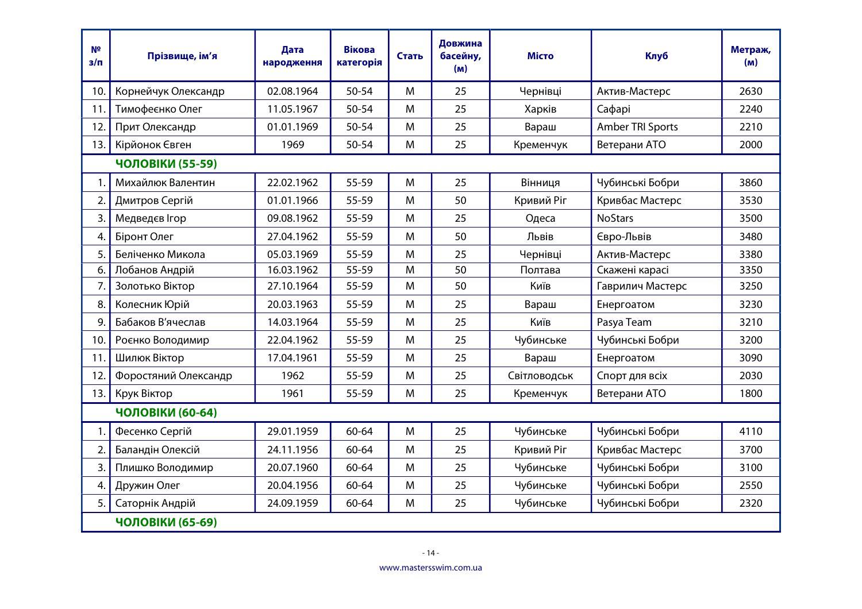| N <sup>2</sup><br>$3/\Pi$ | Прізвище, ім'я       | Дата<br>народження | <b>Вікова</b><br>категорія | Стать | Довжина<br>басейну,<br>(M) | <b>Місто</b> | <b>Клуб</b>      | Метраж,<br>(M) |  |  |
|---------------------------|----------------------|--------------------|----------------------------|-------|----------------------------|--------------|------------------|----------------|--|--|
| 10.                       | Корнейчук Олександр  | 02.08.1964         | $50 - 54$                  | M     | 25                         | Чернівці     | Актив-Мастерс    | 2630           |  |  |
| 11.                       | Тимофеєнко Олег      | 11.05.1967         | 50-54                      | M     | 25                         | Харків       | Сафарі           | 2240           |  |  |
| 12.                       | Прит Олександр       | 01.01.1969         | 50-54                      | M     | 25                         | Вараш        | Amber TRI Sports | 2210           |  |  |
| 13.                       | Кірйонок Євген       | 1969               | $50 - 54$                  | M     | 25                         | Кременчук    | Ветерани АТО     | 2000           |  |  |
| ЧОЛОВІКИ (55-59)          |                      |                    |                            |       |                            |              |                  |                |  |  |
| 1.                        | Михайлюк Валентин    | 22.02.1962         | 55-59                      | M     | 25                         | Вінниця      | Чубинські Бобри  | 3860           |  |  |
| 2.                        | Дмитров Сергій       | 01.01.1966         | 55-59                      | M     | 50                         | Кривий Ріг   | Кривбас Мастерс  | 3530           |  |  |
| 3.                        | Медведєв Ігор        | 09.08.1962         | $55 - 59$                  | M     | 25                         | Одеса        | <b>NoStars</b>   | 3500           |  |  |
| 4.                        | Біронт Олег          | 27.04.1962         | 55-59                      | M     | 50                         | Львів        | Євро-Львів       | 3480           |  |  |
| 5.                        | Беліченко Микола     | 05.03.1969         | 55-59                      | M     | 25                         | Чернівці     | Актив-Мастерс    | 3380           |  |  |
| 6.                        | Лобанов Андрій       | 16.03.1962         | 55-59                      | M     | 50                         | Полтава      | Скажені карасі   | 3350           |  |  |
| 7.                        | Золотько Віктор      | 27.10.1964         | 55-59                      | M     | 50                         | Київ         | Гаврилич Мастерс | 3250           |  |  |
| 8.                        | Колесник Юрій        | 20.03.1963         | 55-59                      | M     | 25                         | Вараш        | Енергоатом       | 3230           |  |  |
| 9.                        | Бабаков В'ячеслав    | 14.03.1964         | 55-59                      | M     | 25                         | Київ         | Pasya Team       | 3210           |  |  |
| 10.                       | Роєнко Володимир     | 22.04.1962         | 55-59                      | M     | 25                         | Чубинське    | Чубинські Бобри  | 3200           |  |  |
| 11.                       | Шилюк Віктор         | 17.04.1961         | 55-59                      | M     | 25                         | Вараш        | Енергоатом       | 3090           |  |  |
| 12.                       | Форостяний Олександр | 1962               | 55-59                      | M     | 25                         | Світловодськ | Спорт для всіх   | 2030           |  |  |
| 13.                       | Крук Віктор          | 1961               | 55-59                      | M     | 25                         | Кременчук    | Ветерани АТО     | 1800           |  |  |
|                           | ЧОЛОВІКИ (60-64)     |                    |                            |       |                            |              |                  |                |  |  |
| 1.                        | Фесенко Сергій       | 29.01.1959         | 60-64                      | M     | 25                         | Чубинське    | Чубинські Бобри  | 4110           |  |  |
| 2.                        | Баландін Олексій     | 24.11.1956         | 60-64                      | M     | 25                         | Кривий Ріг   | Кривбас Мастерс  | 3700           |  |  |
| 3.                        | Плишко Володимир     | 20.07.1960         | 60-64                      | M     | 25                         | Чубинське    | Чубинські Бобри  | 3100           |  |  |
| 4.                        | Дружин Олег          | 20.04.1956         | $60 - 64$                  | M     | 25                         | Чубинське    | Чубинські Бобри  | 2550           |  |  |
| 5.                        | Саторнік Андрій      | 24.09.1959         | $60 - 64$                  | M     | 25                         | Чубинське    | Чубинські Бобри  | 2320           |  |  |
| ЧОЛОВІКИ (65-69)          |                      |                    |                            |       |                            |              |                  |                |  |  |